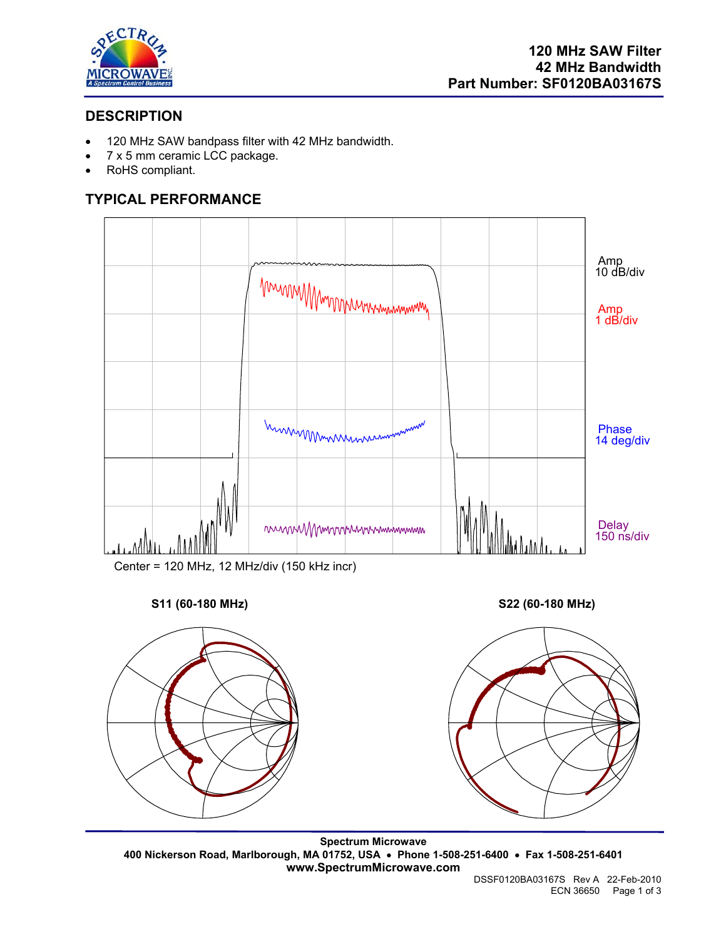

# **DESCRIPTION**

- 120 MHz SAW bandpass filter with 42 MHz bandwidth.
- 7 x 5 mm ceramic LCC package.
- RoHS compliant.

# **TYPICAL PERFORMANCE**



Center = 120 MHz, 12 MHz/div (150 kHz incr)

### **S11 (60-180 MHz) S22 (60-180 MHz)**





**Spectrum Microwave 400 Nickerson Road, Marlborough, MA 01752, USA** • **Phone 1-508-251-6400** • **Fax 1-508-251-6401 www.SpectrumMicrowave.com**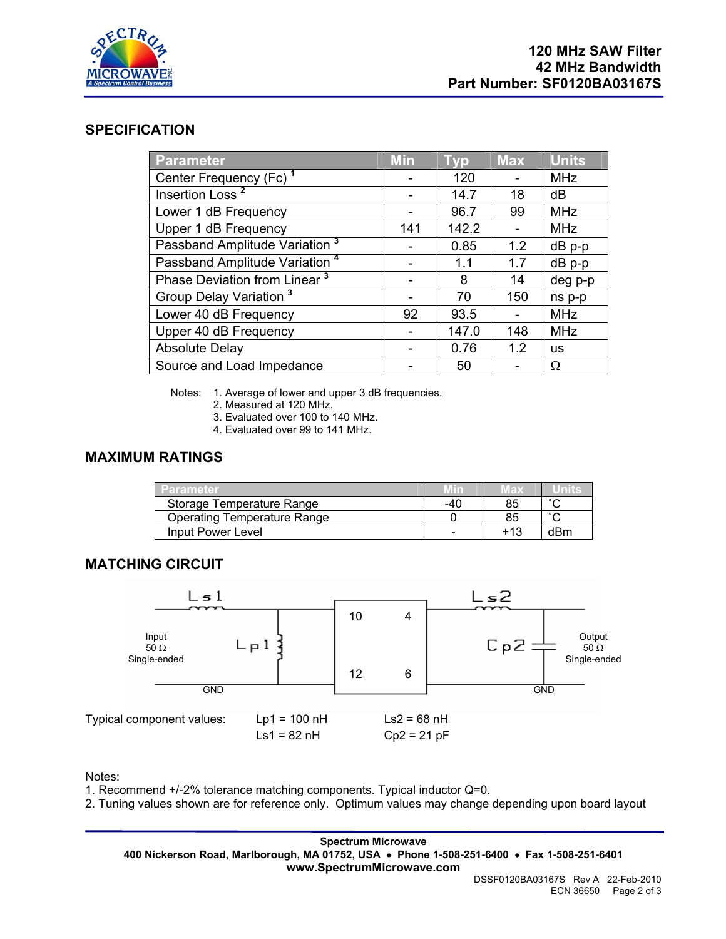

#### **SPECIFICATION**

| Parameter                                 | <b>Min</b> | <b>Typ</b> | <b>Max</b> | <b>Units</b> |
|-------------------------------------------|------------|------------|------------|--------------|
| Center Frequency (Fc) <sup>1</sup>        |            | 120        |            | <b>MHz</b>   |
| Insertion Loss <sup>2</sup>               |            | 14.7       | 18         | dB           |
| Lower 1 dB Frequency                      |            | 96.7       | 99         | <b>MHz</b>   |
| Upper 1 dB Frequency                      | 141        | 142.2      |            | <b>MHz</b>   |
| Passband Amplitude Variation <sup>3</sup> |            | 0.85       | 1.2        | dB p-p       |
| Passband Amplitude Variation <sup>4</sup> |            | 1.1        | 1.7        | $dB$ p-p     |
| Phase Deviation from Linear <sup>3</sup>  |            | 8          | 14         | deg p-p      |
| Group Delay Variation <sup>3</sup>        |            | 70         | 150        | ns p-p       |
| Lower 40 dB Frequency                     | 92         | 93.5       |            | <b>MHz</b>   |
| Upper 40 dB Frequency                     |            | 147.0      | 148        | <b>MHz</b>   |
| <b>Absolute Delay</b>                     |            | 0.76       | 1.2        | <b>us</b>    |
| Source and Load Impedance                 |            | 50         |            | Ω            |

Notes: 1. Average of lower and upper 3 dB frequencies.

- 2. Measured at 120 MHz.
- 3. Evaluated over 100 to 140 MHz.
- 4. Evaluated over 99 to 141 MHz.

## **MAXIMUM RATINGS**

| Parameter                   | Min | мах    |        |
|-----------------------------|-----|--------|--------|
| Storage Temperature Range   | -40 | 85     | $\sim$ |
| Operating Temperature Range |     |        | $\sim$ |
| Input Power Level           |     | $+1.3$ | dBm    |

### **MATCHING CIRCUIT**



Notes:

1. Recommend +/-2% tolerance matching components. Typical inductor Q=0.

2. Tuning values shown are for reference only. Optimum values may change depending upon board layout

**Spectrum Microwave 400 Nickerson Road, Marlborough, MA 01752, USA** • **Phone 1-508-251-6400** • **Fax 1-508-251-6401 www.SpectrumMicrowave.com**